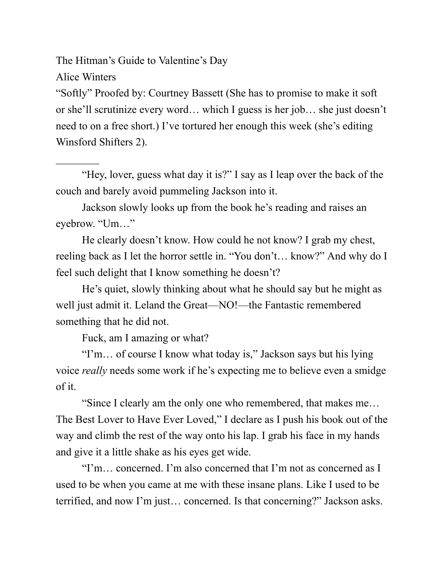The Hitman's Guide to Valentine's Day

Alice Winters

 $\mathcal{L}_\text{max}$ 

"Softly" Proofed by: Courtney Bassett (She has to promise to make it soft or she'll scrutinize every word… which I guess is her job… she just doesn't need to on a free short.) I've tortured her enough this week (she's editing Winsford Shifters 2).

"Hey, lover, guess what day it is?" I say as I leap over the back of the couch and barely avoid pummeling Jackson into it.

Jackson slowly looks up from the book he's reading and raises an eyebrow. "Um…"

He clearly doesn't know. How could he not know? I grab my chest, reeling back as I let the horror settle in. "You don't… know?" And why do I feel such delight that I know something he doesn't?

He's quiet, slowly thinking about what he should say but he might as well just admit it. Leland the Great—NO!—the Fantastic remembered something that he did not.

Fuck, am I amazing or what?

"I'm… of course I know what today is," Jackson says but his lying voice *really* needs some work if he's expecting me to believe even a smidge of it.

"Since I clearly am the only one who remembered, that makes me… The Best Lover to Have Ever Loved," I declare as I push his book out of the way and climb the rest of the way onto his lap. I grab his face in my hands and give it a little shake as his eyes get wide.

"I'm… concerned. I'm also concerned that I'm not as concerned as I used to be when you came at me with these insane plans. Like I used to be terrified, and now I'm just… concerned. Is that concerning?" Jackson asks.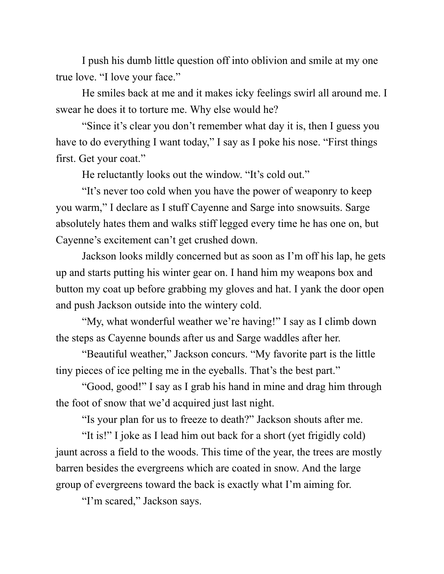I push his dumb little question off into oblivion and smile at my one true love. "I love your face."

He smiles back at me and it makes icky feelings swirl all around me. I swear he does it to torture me. Why else would he?

"Since it's clear you don't remember what day it is, then I guess you have to do everything I want today," I say as I poke his nose. "First things first. Get your coat."

He reluctantly looks out the window. "It's cold out."

"It's never too cold when you have the power of weaponry to keep you warm," I declare as I stuff Cayenne and Sarge into snowsuits. Sarge absolutely hates them and walks stiff legged every time he has one on, but Cayenne's excitement can't get crushed down.

Jackson looks mildly concerned but as soon as I'm off his lap, he gets up and starts putting his winter gear on. I hand him my weapons box and button my coat up before grabbing my gloves and hat. I yank the door open and push Jackson outside into the wintery cold.

"My, what wonderful weather we're having!" I say as I climb down the steps as Cayenne bounds after us and Sarge waddles after her.

"Beautiful weather," Jackson concurs. "My favorite part is the little tiny pieces of ice pelting me in the eyeballs. That's the best part."

"Good, good!" I say as I grab his hand in mine and drag him through the foot of snow that we'd acquired just last night.

"Is your plan for us to freeze to death?" Jackson shouts after me.

"It is!" I joke as I lead him out back for a short (yet frigidly cold) jaunt across a field to the woods. This time of the year, the trees are mostly barren besides the evergreens which are coated in snow. And the large group of evergreens toward the back is exactly what I'm aiming for.

"I'm scared," Jackson says.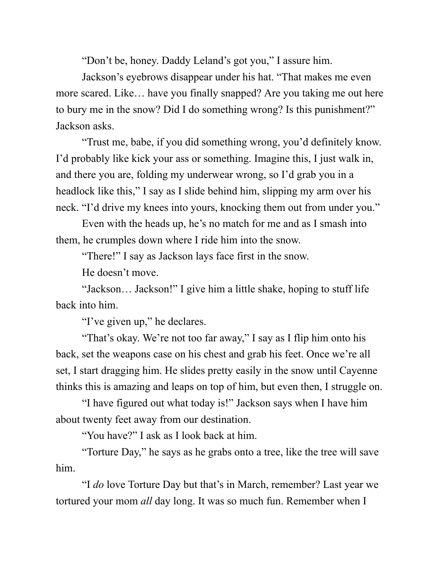"Don't be, honey. Daddy Leland's got you," I assure him.

Jackson's eyebrows disappear under his hat. "That makes me even more scared. Like… have you finally snapped? Are you taking me out here to bury me in the snow? Did I do something wrong? Is this punishment?" Jackson asks.

"Trust me, babe, if you did something wrong, you'd definitely know. I'd probably like kick your ass or something. Imagine this, I just walk in, and there you are, folding my underwear wrong, so I'd grab you in a headlock like this," I say as I slide behind him, slipping my arm over his neck. "I'd drive my knees into yours, knocking them out from under you."

Even with the heads up, he's no match for me and as I smash into them, he crumples down where I ride him into the snow.

"There!" I say as Jackson lays face first in the snow.

He doesn't move.

"Jackson… Jackson!" I give him a little shake, hoping to stuff life back into him.

"I've given up," he declares.

"That's okay. We're not too far away," I say as I flip him onto his back, set the weapons case on his chest and grab his feet. Once we're all set, I start dragging him. He slides pretty easily in the snow until Cayenne thinks this is amazing and leaps on top of him, but even then, I struggle on.

"I have figured out what today is!" Jackson says when I have him about twenty feet away from our destination.

"You have?" I ask as I look back at him.

"Torture Day," he says as he grabs onto a tree, like the tree will save him.

"I *do* love Torture Day but that's in March, remember? Last year we tortured your mom *all* day long. It was so much fun. Remember when I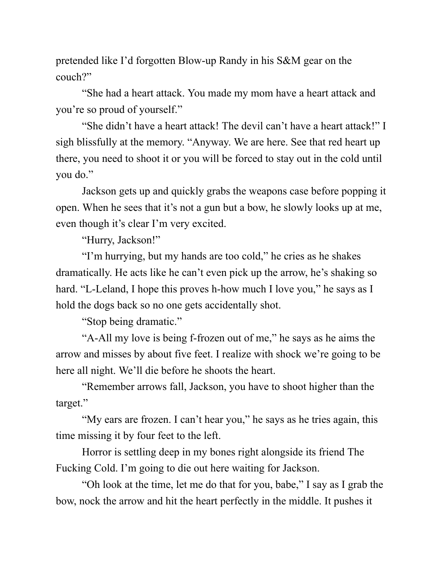pretended like I'd forgotten Blow-up Randy in his S&M gear on the couch?"

"She had a heart attack. You made my mom have a heart attack and you're so proud of yourself."

"She didn't have a heart attack! The devil can't have a heart attack!" I sigh blissfully at the memory. "Anyway. We are here. See that red heart up there, you need to shoot it or you will be forced to stay out in the cold until you do."

Jackson gets up and quickly grabs the weapons case before popping it open. When he sees that it's not a gun but a bow, he slowly looks up at me, even though it's clear I'm very excited.

"Hurry, Jackson!"

"I'm hurrying, but my hands are too cold," he cries as he shakes dramatically. He acts like he can't even pick up the arrow, he's shaking so hard. "L-Leland, I hope this proves h-how much I love you," he says as I hold the dogs back so no one gets accidentally shot.

"Stop being dramatic."

"A-All my love is being f-frozen out of me," he says as he aims the arrow and misses by about five feet. I realize with shock we're going to be here all night. We'll die before he shoots the heart.

"Remember arrows fall, Jackson, you have to shoot higher than the target."

"My ears are frozen. I can't hear you," he says as he tries again, this time missing it by four feet to the left.

Horror is settling deep in my bones right alongside its friend The Fucking Cold. I'm going to die out here waiting for Jackson.

"Oh look at the time, let me do that for you, babe," I say as I grab the bow, nock the arrow and hit the heart perfectly in the middle. It pushes it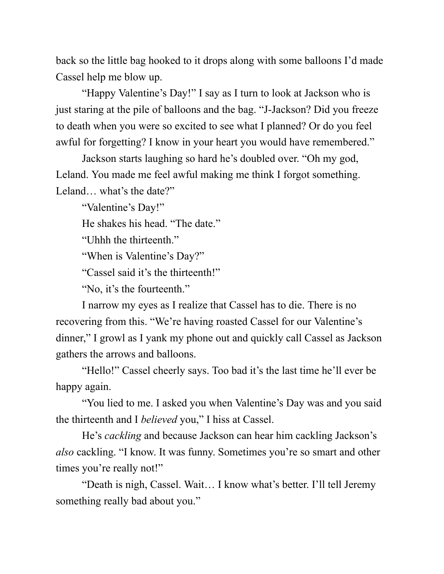back so the little bag hooked to it drops along with some balloons I'd made Cassel help me blow up.

"Happy Valentine's Day!" I say as I turn to look at Jackson who is just staring at the pile of balloons and the bag. "J-Jackson? Did you freeze to death when you were so excited to see what I planned? Or do you feel awful for forgetting? I know in your heart you would have remembered."

Jackson starts laughing so hard he's doubled over. "Oh my god, Leland. You made me feel awful making me think I forgot something. Leland… what's the date?"

"Valentine's Day!" He shakes his head. "The date." "Uhhh the thirteenth." "When is Valentine's Day?" "Cassel said it's the thirteenth!" "No, it's the fourteenth."

I narrow my eyes as I realize that Cassel has to die. There is no recovering from this. "We're having roasted Cassel for our Valentine's dinner," I growl as I yank my phone out and quickly call Cassel as Jackson gathers the arrows and balloons.

"Hello!" Cassel cheerly says. Too bad it's the last time he'll ever be happy again.

"You lied to me. I asked you when Valentine's Day was and you said the thirteenth and I *believed* you," I hiss at Cassel.

He's *cackling* and because Jackson can hear him cackling Jackson's *also* cackling. "I know. It was funny. Sometimes you're so smart and other times you're really not!"

"Death is nigh, Cassel. Wait… I know what's better. I'll tell Jeremy something really bad about you."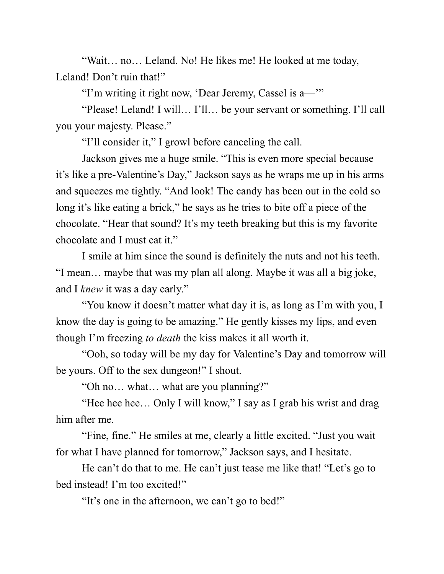"Wait… no… Leland. No! He likes me! He looked at me today, Leland! Don't ruin that!"

"I'm writing it right now, 'Dear Jeremy, Cassel is a—'"

"Please! Leland! I will… I'll… be your servant or something. I'll call you your majesty. Please."

"I'll consider it," I growl before canceling the call.

Jackson gives me a huge smile. "This is even more special because it's like a pre-Valentine's Day," Jackson says as he wraps me up in his arms and squeezes me tightly. "And look! The candy has been out in the cold so long it's like eating a brick," he says as he tries to bite off a piece of the chocolate. "Hear that sound? It's my teeth breaking but this is my favorite chocolate and I must eat it."

I smile at him since the sound is definitely the nuts and not his teeth. "I mean… maybe that was my plan all along. Maybe it was all a big joke, and I *knew* it was a day early."

"You know it doesn't matter what day it is, as long as I'm with you, I know the day is going to be amazing." He gently kisses my lips, and even though I'm freezing *to death* the kiss makes it all worth it.

"Ooh, so today will be my day for Valentine's Day and tomorrow will be yours. Off to the sex dungeon!" I shout.

"Oh no… what… what are you planning?"

"Hee hee hee... Only I will know," I say as I grab his wrist and drag him after me.

"Fine, fine." He smiles at me, clearly a little excited. "Just you wait for what I have planned for tomorrow," Jackson says, and I hesitate.

He can't do that to me. He can't just tease me like that! "Let's go to bed instead! I'm too excited!"

"It's one in the afternoon, we can't go to bed!"